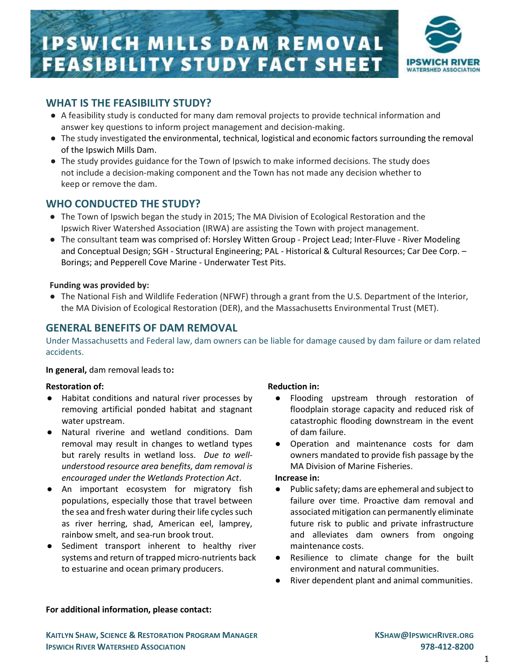# **IPSWICH MILLS DAM REMOVAL FEASIBILITY STUDY FACT SHEET**



# WHAT IS THE FEASIBILITY STUDY?

- A feasibility study is conducted for many dam removal projects to provide technical information and answer key questions to inform project management and decision-making.
- The study investigated the environmental, technical, logistical and economic factors surrounding the removal of the Ipswich Mills Dam.
- The study provides guidance for the Town of Ipswich to make informed decisions. The study does not include a decision-making component and the Town has not made any decision whether to keep or remove the dam.

# WHO CONDUCTED THE STUDY?

- The Town of Ipswich began the study in 2015; The MA Division of Ecological Restoration and the Ipswich River Watershed Association (IRWA) are assisting the Town with project management.
- The consultant team was comprised of: Horsley Witten Group Project Lead; Inter-Fluve River Modeling and Conceptual Design; SGH - Structural Engineering; PAL - Historical & Cultural Resources; Car Dee Corp. -Borings; and Pepperell Cove Marine - Underwater Test Pits.

#### Funding was provided by:

● The National Fish and Wildlife Federation (NFWF) through a grant from the U.S. Department of the Interior, the MA Division of Ecological Restoration (DER), and the Massachusetts Environmental Trust (MET).

# GENERAL BENEFITS OF DAM REMOVAL

Under Massachusetts and Federal law, dam owners can be liable for damage caused by dam failure or dam related accidents.

#### In general, dam removal leads to:

#### Restoration of:

- Habitat conditions and natural river processes by removing artificial ponded habitat and stagnant water upstream.
- Natural riverine and wetland conditions. Dam removal may result in changes to wetland types but rarely results in wetland loss. Due to wellunderstood resource area benefits, dam removal is encouraged under the Wetlands Protection Act.
- An important ecosystem for migratory fish populations, especially those that travel between the sea and fresh water during their life cycles such as river herring, shad, American eel, lamprey, rainbow smelt, and sea-run brook trout.
- Sediment transport inherent to healthy river systems and return of trapped micro-nutrients back to estuarine and ocean primary producers.

#### Reduction in:

- Flooding upstream through restoration of floodplain storage capacity and reduced risk of catastrophic flooding downstream in the event of dam failure.
- Operation and maintenance costs for dam owners mandated to provide fish passage by the MA Division of Marine Fisheries.

#### Increase in:

- Public safety; dams are ephemeral and subject to failure over time. Proactive dam removal and associated mitigation can permanently eliminate future risk to public and private infrastructure and alleviates dam owners from ongoing maintenance costs.
- Resilience to climate change for the built environment and natural communities.
- River dependent plant and animal communities.

#### For additional information, please contact: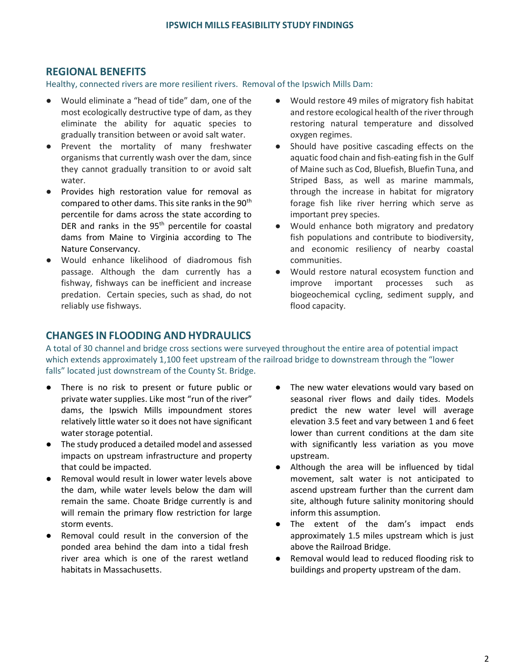# REGIONAL BENEFITS

Healthy, connected rivers are more resilient rivers. Removal of the Ipswich Mills Dam:

- Would eliminate a "head of tide" dam, one of the most ecologically destructive type of dam, as they eliminate the ability for aquatic species to gradually transition between or avoid salt water.
- Prevent the mortality of many freshwater organisms that currently wash over the dam, since they cannot gradually transition to or avoid salt water.
- Provides high restoration value for removal as compared to other dams. This site ranks in the 90<sup>th</sup> percentile for dams across the state according to DER and ranks in the  $95<sup>th</sup>$  percentile for coastal dams from Maine to Virginia according to The Nature Conservancy.
- Would enhance likelihood of diadromous fish passage. Although the dam currently has a fishway, fishways can be inefficient and increase predation. Certain species, such as shad, do not reliably use fishways.
- Would restore 49 miles of migratory fish habitat and restore ecological health of the river through restoring natural temperature and dissolved oxygen regimes.
- Should have positive cascading effects on the aquatic food chain and fish-eating fish in the Gulf of Maine such as Cod, Bluefish, Bluefin Tuna, and Striped Bass, as well as marine mammals, through the increase in habitat for migratory forage fish like river herring which serve as important prey species.
- Would enhance both migratory and predatory fish populations and contribute to biodiversity, and economic resiliency of nearby coastal communities.
- Would restore natural ecosystem function and improve important processes such as biogeochemical cycling, sediment supply, and flood capacity.

## CHANGES IN FLOODING AND HYDRAULICS

A total of 30 channel and bridge cross sections were surveyed throughout the entire area of potential impact which extends approximately 1,100 feet upstream of the railroad bridge to downstream through the "lower falls" located just downstream of the County St. Bridge.

- There is no risk to present or future public or private water supplies. Like most "run of the river" dams, the Ipswich Mills impoundment stores relatively little water so it does not have significant water storage potential.
- The study produced a detailed model and assessed impacts on upstream infrastructure and property that could be impacted.
- Removal would result in lower water levels above the dam, while water levels below the dam will remain the same. Choate Bridge currently is and will remain the primary flow restriction for large storm events.
- Removal could result in the conversion of the ponded area behind the dam into a tidal fresh river area which is one of the rarest wetland habitats in Massachusetts.
- The new water elevations would vary based on seasonal river flows and daily tides. Models predict the new water level will average elevation 3.5 feet and vary between 1 and 6 feet lower than current conditions at the dam site with significantly less variation as you move upstream.
- Although the area will be influenced by tidal movement, salt water is not anticipated to ascend upstream further than the current dam site, although future salinity monitoring should inform this assumption.
- The extent of the dam's impact ends approximately 1.5 miles upstream which is just above the Railroad Bridge.
- Removal would lead to reduced flooding risk to buildings and property upstream of the dam.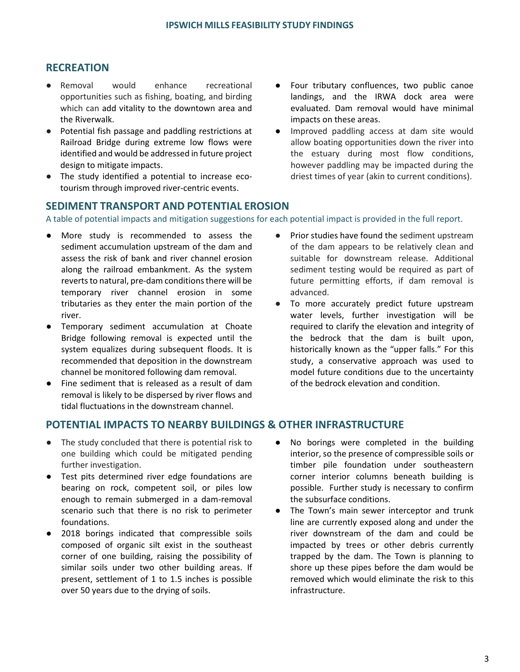## RECREATION

- Removal would enhance recreational opportunities such as fishing, boating, and birding which can add vitality to the downtown area and the Riverwalk.
- Potential fish passage and paddling restrictions at Railroad Bridge during extreme low flows were identified and would be addressed in future project design to mitigate impacts.
- The study identified a potential to increase ecotourism through improved river-centric events.
- Four tributary confluences, two public canoe landings, and the IRWA dock area were evaluated. Dam removal would have minimal impacts on these areas.
- Improved paddling access at dam site would allow boating opportunities down the river into the estuary during most flow conditions, however paddling may be impacted during the driest times of year (akin to current conditions).

## SEDIMENT TRANSPORT AND POTENTIAL EROSION

A table of potential impacts and mitigation suggestions for each potential impact is provided in the full report.

- More study is recommended to assess the sediment accumulation upstream of the dam and assess the risk of bank and river channel erosion along the railroad embankment. As the system reverts to natural, pre-dam conditions there will be temporary river channel erosion in some tributaries as they enter the main portion of the river.
- Temporary sediment accumulation at Choate Bridge following removal is expected until the system equalizes during subsequent floods. It is recommended that deposition in the downstream channel be monitored following dam removal.
- Fine sediment that is released as a result of dam removal is likely to be dispersed by river flows and tidal fluctuations in the downstream channel.
- Prior studies have found the sediment upstream of the dam appears to be relatively clean and suitable for downstream release. Additional sediment testing would be required as part of future permitting efforts, if dam removal is advanced.
- To more accurately predict future upstream water levels, further investigation will be required to clarify the elevation and integrity of the bedrock that the dam is built upon, historically known as the "upper falls." For this study, a conservative approach was used to model future conditions due to the uncertainty of the bedrock elevation and condition.

## POTENTIAL IMPACTS TO NEARBY BUILDINGS & OTHER INFRASTRUCTURE

- The study concluded that there is potential risk to one building which could be mitigated pending further investigation.
- Test pits determined river edge foundations are bearing on rock, competent soil, or piles low enough to remain submerged in a dam-removal scenario such that there is no risk to perimeter foundations.
- 2018 borings indicated that compressible soils composed of organic silt exist in the southeast corner of one building, raising the possibility of similar soils under two other building areas. If present, settlement of 1 to 1.5 inches is possible over 50 years due to the drying of soils.
- No borings were completed in the building interior, so the presence of compressible soils or timber pile foundation under southeastern corner interior columns beneath building is possible. Further study is necessary to confirm the subsurface conditions.
- The Town's main sewer interceptor and trunk line are currently exposed along and under the river downstream of the dam and could be impacted by trees or other debris currently trapped by the dam. The Town is planning to shore up these pipes before the dam would be removed which would eliminate the risk to this infrastructure.